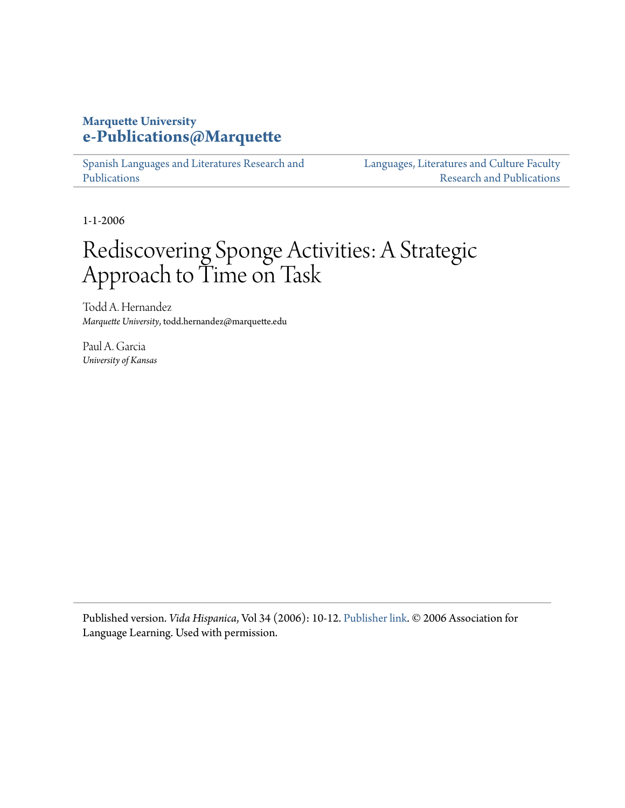# **Marquette University [e-Publications@Marquette](https://epublications.marquette.edu)**

[Spanish Languages and Literatures Research and](https://epublications.marquette.edu/span_fac) [Publications](https://epublications.marquette.edu/span_fac)

[Languages, Literatures and Culture Faculty](https://epublications.marquette.edu/fola_fac) [Research and Publications](https://epublications.marquette.edu/fola_fac)

1-1-2006

# Rediscovering Sponge Activities: A Strategic Approach to Time on Task

Todd A. Hernandez *Marquette University*, todd.hernandez@marquette.edu

Paul A. Garcia *University of Kansas*

Published version. *Vida Hispanica*, Vol 34 (2006): 10-12. [Publisher link.](https://www.all-languages.org.uk/research-practice/language-zones/vida-hispanica/) © 2006 Association for Language Learning. Used with permission.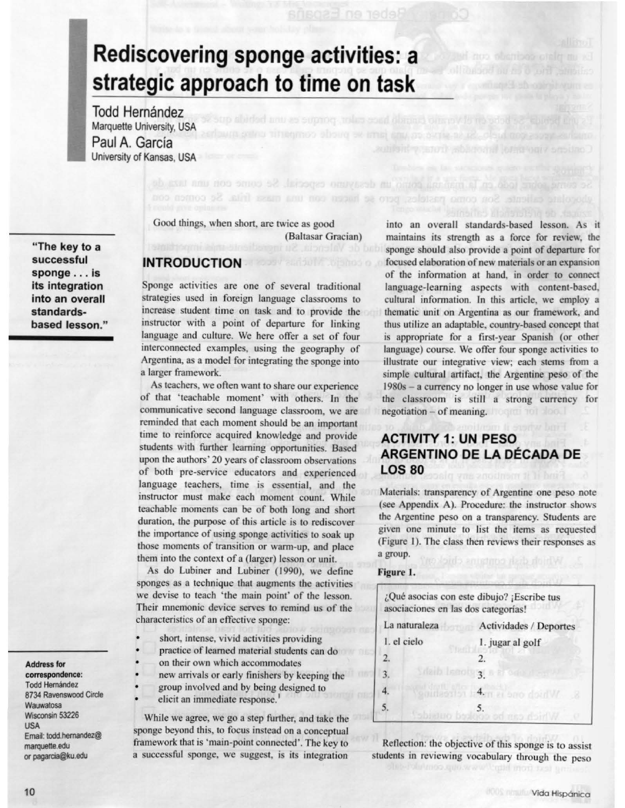# **Rediscovering sponge activities: a strategic approach to time on task**

**Todd Hernández** Marquette University, USA Paul A. Garcia University of Kansas, USA

**"The key to a successful sponge . .. Is its integration into an overall standardsbased lesson."** 

**Address fOf' correspondence: Todd Hernández** 8734 Ravenswood Circle Wauwatosa Wisconsin 53226 **USA**  Email: todd.hemandez@ marquette.edu or pagarcia@ku.edu

Good things, when short, are twice as good (Baltasar Gracian)

### **INTRODUCTION**

Sponge activities are one of several traditional strategies used in foreign language classrooms to increase student time on task and to provide the instructor with a point of departure for linking language and culture. We here offer a set of four interconnected examples, using the geography of Argentina, as a model for integrating the sponge into a larger framework.

As teachers, we often want to share our experience of that 'teachable moment' with others. In the communicative second language classroom, we are reminded that each moment should be an important time to reinforce acquired knowledge and provide students with further learning opportunities. Based upon the authors' 20 years of classroom observations of both pre-service educators and experienced language teachers, time is essential, and the instructor must make each moment count. While teachable moments can be of both long and short duration, the purpose of this article is to rediscover the importance of using sponge activities to soak up those moments of transition or warm-up, and place them into the context of a (larger) lesson or unit.

As do Lubiner and Lubiner (1990), we define sponges as a technique that augments the activities we devise to teach 'the main point' of the lesson. Their mnemonic device serves to remind us of the characteristics of an effective sponge:

- short, intense, vivid activities providing
- practice of learned material students can do
- on their own which accommodates
- new arrivals or early finishers by keeping the
- group involved and by being designed to
- elicit an immediate response.<sup>1</sup>

While we agree, we go a step further, and take the sponge beyond this, to focus instead on a conceptual framework that is 'main-point connected'. The key to a successful sponge, we suggest, is its integration

into an overall standards-based lesson. As it maintains its strength as a force for review, the sponge should also provide a point of departure for focused elaboration of new materials or an expansion of the information at hand, in order to connect language-learning aspects with content-based, cultural information. In this article, we employ a thematic unit on Argentina as our framework, and thus utilize an adaptable, country-based concept that is appropriate for a first-year Spanish (or other language) course. We offer four sponge activities to illustrate our integrative view; each stems from a simple cultural artifact, the Argentine peso of the 1980s - a currency no longer in use whose value for the classroom is still a strong currency for negotiation - of meaning.

# **ACTIVITY 1: UN PESO ARGENTINO DE LA DECADA DE LOS 80**

Materials: transparency of Argentine one peso note (see Appendix A). Procedure: the instructor shows the Argentine peso on a transparency. Students are given one minute to list the items as requested (Figure I). The class then reviews their responses as a group.

#### **Figure 1.**

| asociaciones en las dos categorías! | ¿Qué asocias con este dibujo? ¡Escribe tus |  |
|-------------------------------------|--------------------------------------------|--|
| La naturaleza                       | Actividades / Deportes                     |  |
| 1. el cielo                         | 1. jugar al golf                           |  |
| $\overline{2}$                      | $\mathcal{L}$                              |  |
| 3.                                  | sieib Iseotyg is a one des                 |  |
|                                     | which one is met creating                  |  |
|                                     |                                            |  |

Reflection: the objective of this sponge is to assist students in reviewing vocabulary through the peso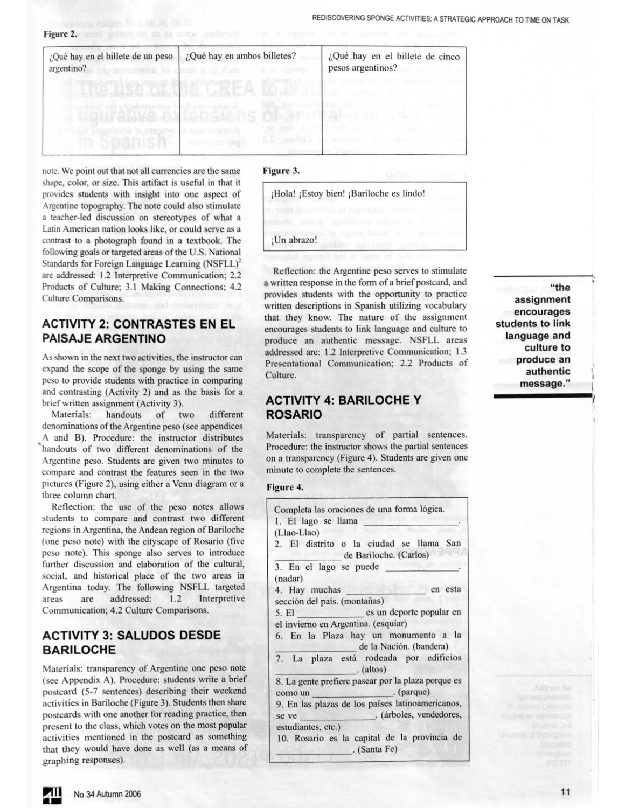Figure 2. and guitanoid as an order , such said a support

| ¿Qué hay en el billete de un peso<br>argentino? and contracted to the a construction                                                         | ¿Qué hay en ambos billetes?<br><b>21 STRINGS</b> |                       | ¿Qué hay en el billete de cinco<br>pesos argentinos? |
|----------------------------------------------------------------------------------------------------------------------------------------------|--------------------------------------------------|-----------------------|------------------------------------------------------|
| <b>A having kempt box trained do</b><br>which the state of the state of the state of the state of the state of the state of the state of the |                                                  |                       |                                                      |
| and orbital atmosphere absett an<br>The Most Children Tale SMO                                                                               |                                                  | Alternative Barry     |                                                      |
| holm uniquipyon to smooths in him bilan                                                                                                      | エンスドンソンスク                                        | <b><i>STORICA</i></b> |                                                      |

note. We point out that not all currencies are the same shape, color, or size. This artifact is useful in that it provides students with insight into one aspect of Argentine topography. The note could also stimulate a teacher-led discussion on stereotypes of what a Latin American nation looks like, or could serve as a contrast to a photograph found in a textbook. The following goals or targeted areas of the U.S. National Standards for Foreign Language Learning (NSFLL)<sup>2</sup> are addressed: 1.2 lnterpretive Communication; 2.2 Products of Culture; 3.1 Making Connections; 4.2 Culture Comparisons.

# **ACTIVITY 2: CONTRASTES EN EL PAISAJE ARGENTINO**

As shown in the next two activities, the instructor can expand the scope of the sponge by using the same peso to provide students with practice in comparing and contrasting (Activity 2) and as the basis for a brief written assignment (Activity 3).

Materials: handouts of two different denominations of the Argentine peso (see appendices A and B). Procedure: the instructor distributes handouts of two different denominations of the Argentine peso. Students are given two minutes to compare and contrast the features seen in the two pictures (Figure 2), using either a Venn diagram or a three column chart.

Reflection: the use of the peso notes allows students to compare and contrast two different regions in Argentina, the Andean region of Bariloche (one peso note) with the cityscape of Rosario (five peso note). This sponge also serves to introduce further discussion and elaboration of the cultural, social, and historical place of the two areas in Argentina today. The following NSFLL targeted areas are addressed: 1.2 Interpretive Communication; 4.2 Culture Comparisons.

### **ACTIVITY 3: SALUDOS DESDE BARILOCHE**

Materials: transparency of Argentine one peso note (see Appendix A). Procedure: students write a brief postcard (5-7 entences) describing their weekend activities in Bariloche (Figure 3). Students then share postcards with one another for reading practice, then present to the class, which votes on the most popular activities mentioned in the postcard as something that they would have done as well (as a means of graphing responses).

#### **Figure 3.**

|             | ¡Hola! ¡Estoy bien! ¡Bariloche es lindo!                                    |
|-------------|-----------------------------------------------------------------------------|
|             | 10 DAILY ROBBETOOL OF DOCTORIE LEAR<br><b>MODULA SVIDE SVEDBENS RONNEER</b> |
| ¡Un abrazo! | to suban bright is all book<br><b>MAILBOOK</b>                              |
|             |                                                                             |

Reflection: the Argentine peso serves to stimulate a written response in the form of a brief postcard, and provides students with the opportunity to practice written descriptions in Spanish utilizing vocabulary that they know. The nature of the assignment encourages students to link language and culture to produce an authentic message. NSFLL areas addressed are: 1.2 Interpretive Communication; 1.3 Presentational Communication; 2.2 Products of Culture.

## **ACTIVITY 4: BARILOCHE Y ROSARIO**

Materials: transparency of partial sentences. Procedure: the instructor shows the partial sentences on a transparency (Figure 4). Students are given one minute to complete the sentences.

#### **Figure 4.**

| Completa las oraciones de una forma lógica.<br>1. El lago se llama          |
|-----------------------------------------------------------------------------|
| (Llao-Llao)                                                                 |
|                                                                             |
| 2. El distrito o la ciudad se llama San<br>de Bariloche. (Carlos)           |
| 3. En el lago se puede                                                      |
| (nadar)                                                                     |
| en esta<br>4. Hay muchas                                                    |
| sección del país. (montañas)                                                |
| es un deporte popular en<br>5. El                                           |
| el invierno en Argentina. (esquiar)                                         |
| 6. En la Plaza hay un monumento a la<br>de la Nación. (bandera)             |
| 7. La plaza está rodeada por edificios<br>. (altos)                         |
| 8. La gente prefiere pasear por la plaza porque es<br>. (parque)<br>como un |
| 9. En las plazas de los países latinoamericanos,                            |
| . (árboles, vendedores,<br>se ve                                            |
| estudiantes, etc.)                                                          |
| 10. Rosario es la capital de la provincia de<br>. (Santa Fe)                |
|                                                                             |

**"the assignment encourages students to link language and culture to produce an authentic message."**  authentic<br>message."

I I ' I